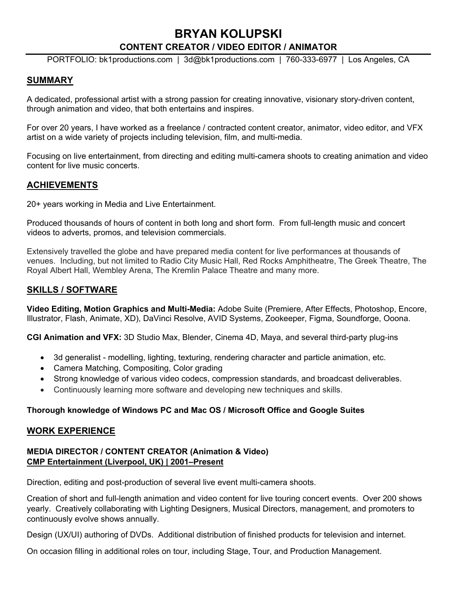# **BRYAN KOLUPSKI CONTENT CREATOR / VIDEO EDITOR / ANIMATOR**

PORTFOLIO: [bk1productions.com](https://www.bk1productions.com) | 3d@bk1productions.com | 760-333-6977 | Los Angeles, CA

## **SUMMARY**

A dedicated, professional artist with a strong passion for creating innovative, visionary story-driven content, through animation and video, that both entertains and inspires.

For over 20 years, I have worked as a freelance / contracted content creator, animator, video editor, and VFX artist on a wide variety of projects including television, film, and multi-media.

Focusing on live entertainment, from directing and editing multi-camera shoots to creating animation and video content for live music concerts.

## **ACHIEVEMENTS**

20+ years working in Media and Live Entertainment.

Produced thousands of hours of content in both long and short form. From full-length music and concert videos to adverts, promos, and television commercials.

Extensively travelled the globe and have prepared media content for live performances at thousands of venues. Including, but not limited to Radio City Music Hall, Red Rocks Amphitheatre, The Greek Theatre, The Royal Albert Hall, Wembley Arena, The Kremlin Palace Theatre and many more.

## **SKILLS / SOFTWARE**

**Video Editing, Motion Graphics and Multi-Media:** Adobe Suite (Premiere, After Effects, Photoshop, Encore, Illustrator, Flash, Animate, XD), DaVinci Resolve, AVID Systems, Zookeeper, Figma, Soundforge, Ooona.

**CGI Animation and VFX:** 3D Studio Max, Blender, Cinema 4D, Maya, and several third-party plug-ins

- 3d generalist modelling, lighting, texturing, rendering character and particle animation, etc.
- Camera Matching, Compositing, Color grading
- Strong knowledge of various video codecs, compression standards, and broadcast deliverables.
- Continuously learning more software and developing new techniques and skills.

## **Thorough knowledge of Windows PC and Mac OS / Microsoft Office and Google Suites**

#### **WORK EXPERIENCE**

## **MEDIA DIRECTOR / CONTENT CREATOR (Animation & Video) CMP Entertainment (Liverpool, UK) | 2001–Present**

Direction, editing and post-production of several live event multi-camera shoots.

Creation of short and full-length animation and video content for live touring concert events. Over 200 shows yearly. Creatively collaborating with Lighting Designers, Musical Directors, management, and promoters to continuously evolve shows annually.

Design (UX/UI) authoring of DVDs. Additional distribution of finished products for television and internet.

On occasion filling in additional roles on tour, including Stage, Tour, and Production Management.